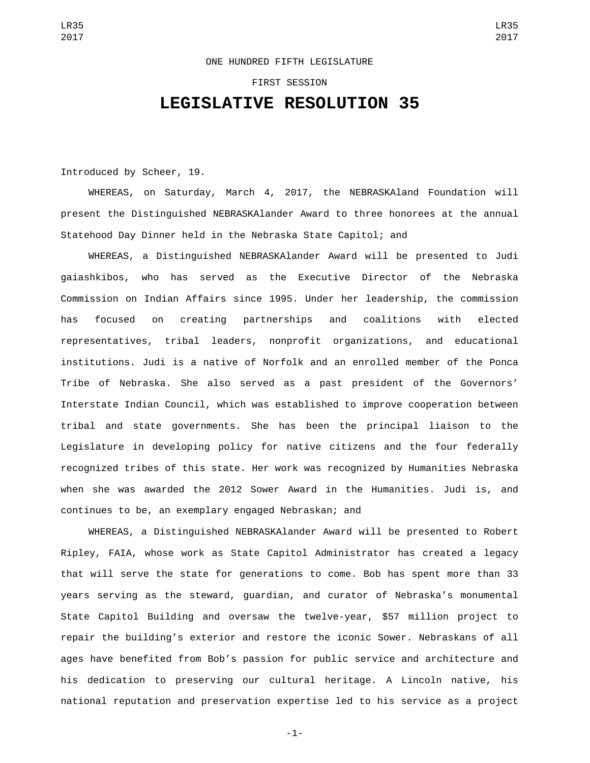## ONE HUNDRED FIFTH LEGISLATURE

## FIRST SESSION **LEGISLATIVE RESOLUTION 35**

Introduced by Scheer, 19.

WHEREAS, on Saturday, March 4, 2017, the NEBRASKAland Foundation will present the Distinguished NEBRASKAlander Award to three honorees at the annual Statehood Day Dinner held in the Nebraska State Capitol; and

WHEREAS, a Distinguished NEBRASKAlander Award will be presented to Judi gaiashkibos, who has served as the Executive Director of the Nebraska Commission on Indian Affairs since 1995. Under her leadership, the commission has focused on creating partnerships and coalitions with elected representatives, tribal leaders, nonprofit organizations, and educational institutions. Judi is a native of Norfolk and an enrolled member of the Ponca Tribe of Nebraska. She also served as a past president of the Governors' Interstate Indian Council, which was established to improve cooperation between tribal and state governments. She has been the principal liaison to the Legislature in developing policy for native citizens and the four federally recognized tribes of this state. Her work was recognized by Humanities Nebraska when she was awarded the 2012 Sower Award in the Humanities. Judi is, and continues to be, an exemplary engaged Nebraskan; and

WHEREAS, a Distinguished NEBRASKAlander Award will be presented to Robert Ripley, FAIA, whose work as State Capitol Administrator has created a legacy that will serve the state for generations to come. Bob has spent more than 33 years serving as the steward, guardian, and curator of Nebraska's monumental State Capitol Building and oversaw the twelve-year, \$57 million project to repair the building's exterior and restore the iconic Sower. Nebraskans of all ages have benefited from Bob's passion for public service and architecture and his dedication to preserving our cultural heritage. A Lincoln native, his national reputation and preservation expertise led to his service as a project

-1-